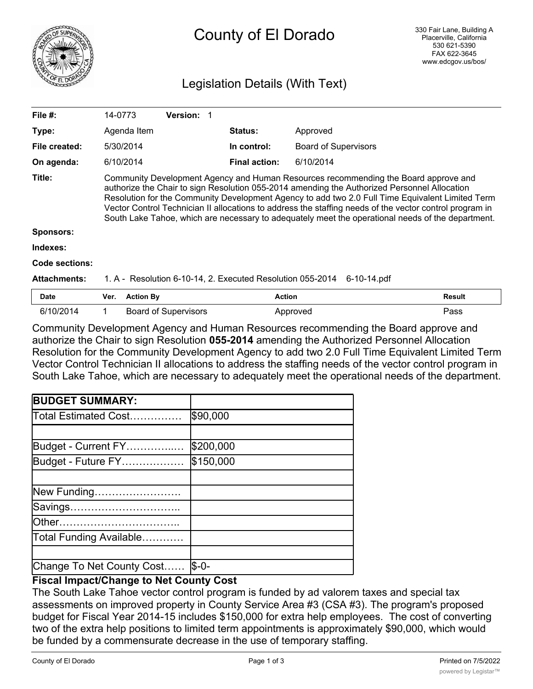

# County of El Dorado

# Legislation Details (With Text)

| File $#$ :          | 14-0773                                                                                                                                                                                                                                                                                                                                                                                                                                                                                                 | Version: 1                  |                      |                             |               |
|---------------------|---------------------------------------------------------------------------------------------------------------------------------------------------------------------------------------------------------------------------------------------------------------------------------------------------------------------------------------------------------------------------------------------------------------------------------------------------------------------------------------------------------|-----------------------------|----------------------|-----------------------------|---------------|
| Type:               | Agenda Item                                                                                                                                                                                                                                                                                                                                                                                                                                                                                             |                             | <b>Status:</b>       | Approved                    |               |
| File created:       | 5/30/2014                                                                                                                                                                                                                                                                                                                                                                                                                                                                                               |                             | In control:          | <b>Board of Supervisors</b> |               |
| On agenda:          | 6/10/2014                                                                                                                                                                                                                                                                                                                                                                                                                                                                                               |                             | <b>Final action:</b> | 6/10/2014                   |               |
| Title:              | Community Development Agency and Human Resources recommending the Board approve and<br>authorize the Chair to sign Resolution 055-2014 amending the Authorized Personnel Allocation<br>Resolution for the Community Development Agency to add two 2.0 Full Time Equivalent Limited Term<br>Vector Control Technician II allocations to address the staffing needs of the vector control program in<br>South Lake Tahoe, which are necessary to adequately meet the operational needs of the department. |                             |                      |                             |               |
| <b>Sponsors:</b>    |                                                                                                                                                                                                                                                                                                                                                                                                                                                                                                         |                             |                      |                             |               |
| Indexes:            |                                                                                                                                                                                                                                                                                                                                                                                                                                                                                                         |                             |                      |                             |               |
| Code sections:      |                                                                                                                                                                                                                                                                                                                                                                                                                                                                                                         |                             |                      |                             |               |
| <b>Attachments:</b> | 1. A - Resolution 6-10-14, 2. Executed Resolution 055-2014<br>6-10-14.pdf                                                                                                                                                                                                                                                                                                                                                                                                                               |                             |                      |                             |               |
| <b>Date</b>         | <b>Action By</b><br>Ver.                                                                                                                                                                                                                                                                                                                                                                                                                                                                                |                             |                      | <b>Action</b>               | <b>Result</b> |
| 6/10/2014           |                                                                                                                                                                                                                                                                                                                                                                                                                                                                                                         | <b>Board of Supervisors</b> |                      | Approved                    | Pass          |

Community Development Agency and Human Resources recommending the Board approve and authorize the Chair to sign Resolution **055-2014** amending the Authorized Personnel Allocation Resolution for the Community Development Agency to add two 2.0 Full Time Equivalent Limited Term Vector Control Technician II allocations to address the staffing needs of the vector control program in South Lake Tahoe, which are necessary to adequately meet the operational needs of the department.

| <b>BUDGET SUMMARY:</b>    |           |
|---------------------------|-----------|
| Total Estimated Cost…………… | \$90,000  |
|                           |           |
| Budget - Current FY       | \$200,000 |
| Budget - Future FY        | \$150,000 |
|                           |           |
| New Funding               |           |
| Savings                   |           |
| lOther                    |           |
| Total Funding Available   |           |
|                           |           |
| Change To Net County Cost | $S - 0 -$ |

## **Fiscal Impact/Change to Net County Cost**

The South Lake Tahoe vector control program is funded by ad valorem taxes and special tax assessments on improved property in County Service Area #3 (CSA #3). The program's proposed budget for Fiscal Year 2014-15 includes \$150,000 for extra help employees. The cost of converting two of the extra help positions to limited term appointments is approximately \$90,000, which would be funded by a commensurate decrease in the use of temporary staffing.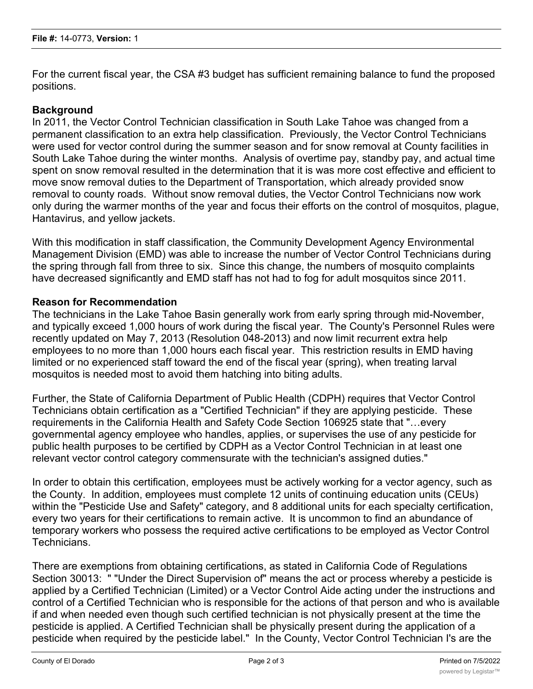For the current fiscal year, the CSA #3 budget has sufficient remaining balance to fund the proposed positions.

## **Background**

In 2011, the Vector Control Technician classification in South Lake Tahoe was changed from a permanent classification to an extra help classification. Previously, the Vector Control Technicians were used for vector control during the summer season and for snow removal at County facilities in South Lake Tahoe during the winter months. Analysis of overtime pay, standby pay, and actual time spent on snow removal resulted in the determination that it is was more cost effective and efficient to move snow removal duties to the Department of Transportation, which already provided snow removal to county roads. Without snow removal duties, the Vector Control Technicians now work only during the warmer months of the year and focus their efforts on the control of mosquitos, plague, Hantavirus, and yellow jackets.

With this modification in staff classification, the Community Development Agency Environmental Management Division (EMD) was able to increase the number of Vector Control Technicians during the spring through fall from three to six. Since this change, the numbers of mosquito complaints have decreased significantly and EMD staff has not had to fog for adult mosquitos since 2011.

#### **Reason for Recommendation**

The technicians in the Lake Tahoe Basin generally work from early spring through mid-November, and typically exceed 1,000 hours of work during the fiscal year. The County's Personnel Rules were recently updated on May 7, 2013 (Resolution 048-2013) and now limit recurrent extra help employees to no more than 1,000 hours each fiscal year. This restriction results in EMD having limited or no experienced staff toward the end of the fiscal year (spring), when treating larval mosquitos is needed most to avoid them hatching into biting adults.

Further, the State of California Department of Public Health (CDPH) requires that Vector Control Technicians obtain certification as a "Certified Technician" if they are applying pesticide. These requirements in the California Health and Safety Code Section 106925 state that "…every governmental agency employee who handles, applies, or supervises the use of any pesticide for public health purposes to be certified by CDPH as a Vector Control Technician in at least one relevant vector control category commensurate with the technician's assigned duties."

In order to obtain this certification, employees must be actively working for a vector agency, such as the County. In addition, employees must complete 12 units of continuing education units (CEUs) within the "Pesticide Use and Safety" category, and 8 additional units for each specialty certification, every two years for their certifications to remain active. It is uncommon to find an abundance of temporary workers who possess the required active certifications to be employed as Vector Control Technicians.

There are exemptions from obtaining certifications, as stated in California Code of Regulations Section 30013: " "Under the Direct Supervision of" means the act or process whereby a pesticide is applied by a Certified Technician (Limited) or a Vector Control Aide acting under the instructions and control of a Certified Technician who is responsible for the actions of that person and who is available if and when needed even though such certified technician is not physically present at the time the pesticide is applied. A Certified Technician shall be physically present during the application of a pesticide when required by the pesticide label." In the County, Vector Control Technician I's are the